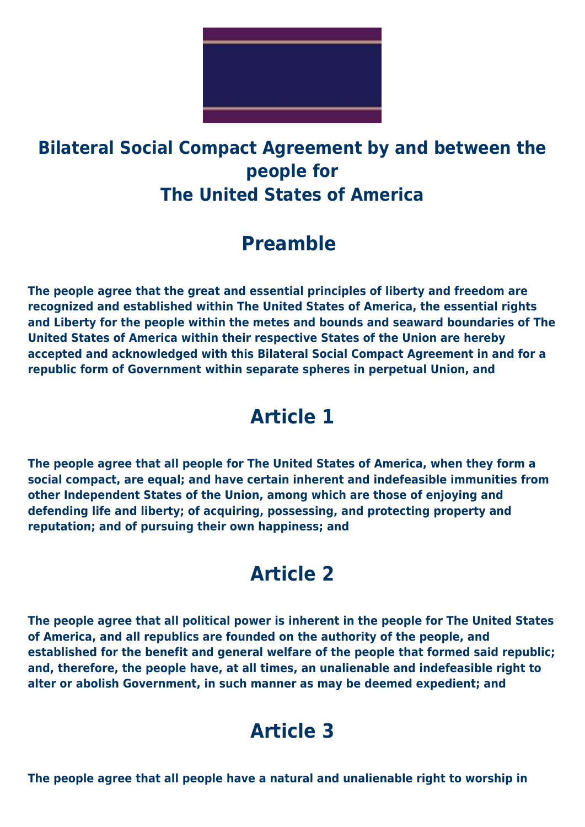

### **Bilateral Social Compact Agreement by and between the people for The United States of America**

## **Preamble**

**The people agree that the great and essential principles of liberty and freedom are recognized and established within The United States of America, the essential rights and Liberty for the people within the metes and bounds and seaward boundaries of The United States of America within their respective States of the Union are hereby accepted and acknowledged with this Bilateral Social Compact Agreement in and for a republic form of Government within separate spheres in perpetual Union, and**

## **Article 1**

**The people agree that all people for The United States of America, when they form a social compact, are equal; and have certain inherent and indefeasible immunities from other Independent States of the Union, among which are those of enjoying and defending life and liberty; of acquiring, possessing, and protecting property and reputation; and of pursuing their own happiness; and**

## **Article 2**

**The people agree that all political power is inherent in the people for The United States of America, and all republics are founded on the authority of the people, and established for the benefit and general welfare of the people that formed said republic; and, therefore, the people have, at all times, an unalienable and indefeasible right to alter or abolish Government, in such manner as may be deemed expedient; and**

## **Article 3**

**The people agree that all people have a natural and unalienable right to worship in**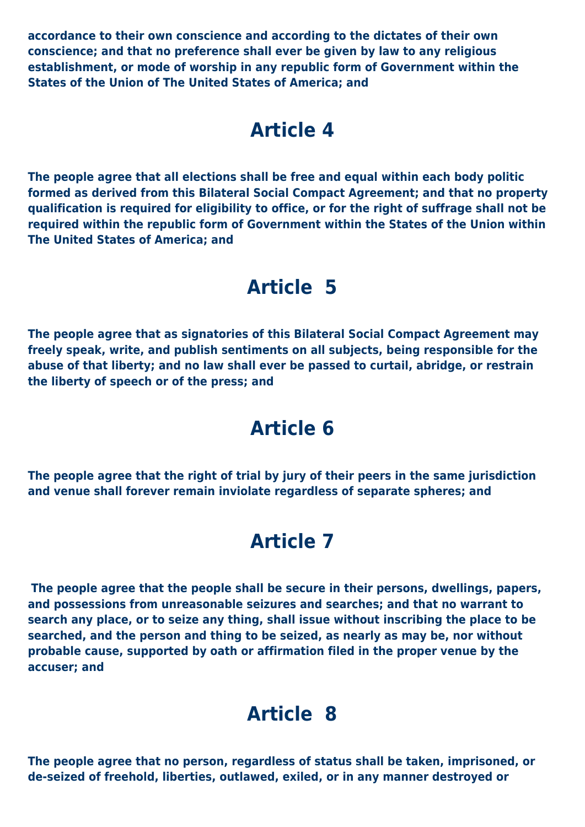**accordance to their own conscience and according to the dictates of their own conscience; and that no preference shall ever be given by law to any religious establishment, or mode of worship in any republic form of Government within the States of the Union of The United States of America; and**

#### **Article 4**

**The people agree that all elections shall be free and equal within each body politic formed as derived from this Bilateral Social Compact Agreement; and that no property qualification is required for eligibility to office, or for the right of suffrage shall not be required within the republic form of Government within the States of the Union within The United States of America; and**

#### **Article 5**

**The people agree that as signatories of this Bilateral Social Compact Agreement may freely speak, write, and publish sentiments on all subjects, being responsible for the abuse of that liberty; and no law shall ever be passed to curtail, abridge, or restrain the liberty of speech or of the press; and**

## **Article 6**

**The people agree that the right of trial by jury of their peers in the same jurisdiction and venue shall forever remain inviolate regardless of separate spheres; and**

## **Article 7**

**The people agree that the people shall be secure in their persons, dwellings, papers, and possessions from unreasonable seizures and searches; and that no warrant to search any place, or to seize any thing, shall issue without inscribing the place to be searched, and the person and thing to be seized, as nearly as may be, nor without probable cause, supported by oath or affirmation filed in the proper venue by the accuser; and**

### **Article 8**

**The people agree that no person, regardless of status shall be taken, imprisoned, or de-seized of freehold, liberties, outlawed, exiled, or in any manner destroyed or**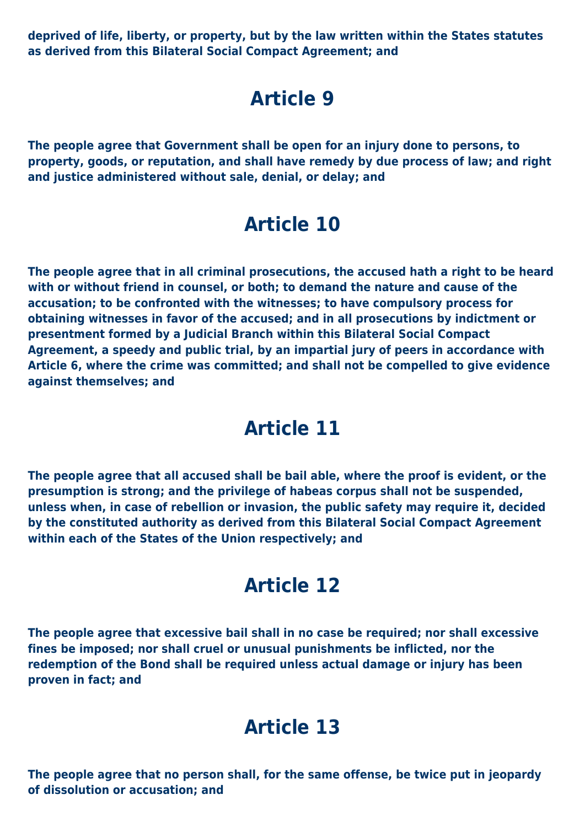**deprived of life, liberty, or property, but by the law written within the States statutes as derived from this Bilateral Social Compact Agreement; and**

## **Article 9**

**The people agree that Government shall be open for an injury done to persons, to property, goods, or reputation, and shall have remedy by due process of law; and right and justice administered without sale, denial, or delay; and**

### **Article 10**

**The people agree that in all criminal prosecutions, the accused hath a right to be heard with or without friend in counsel, or both; to demand the nature and cause of the accusation; to be confronted with the witnesses; to have compulsory process for obtaining witnesses in favor of the accused; and in all prosecutions by indictment or presentment formed by a Judicial Branch within this Bilateral Social Compact Agreement, a speedy and public trial, by an impartial jury of peers in accordance with Article 6, where the crime was committed; and shall not be compelled to give evidence against themselves; and**

#### **Article 11**

**The people agree that all accused shall be bail able, where the proof is evident, or the presumption is strong; and the privilege of habeas corpus shall not be suspended, unless when, in case of rebellion or invasion, the public safety may require it, decided by the constituted authority as derived from this Bilateral Social Compact Agreement within each of the States of the Union respectively; and**

#### **Article 12**

**The people agree that excessive bail shall in no case be required; nor shall excessive fines be imposed; nor shall cruel or unusual punishments be inflicted, nor the redemption of the Bond shall be required unless actual damage or injury has been proven in fact; and**

#### **Article 13**

**The people agree that no person shall, for the same offense, be twice put in jeopardy of dissolution or accusation; and**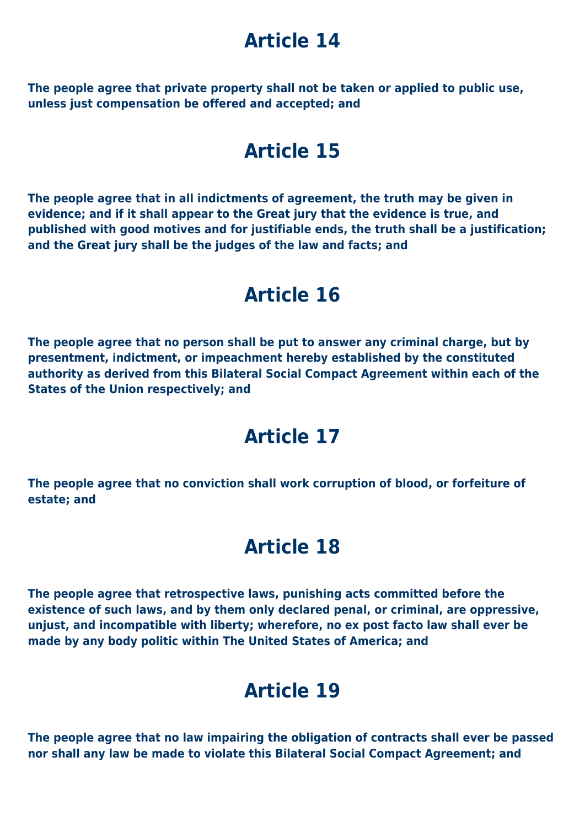## **Article 14**

**The people agree that private property shall not be taken or applied to public use, unless just compensation be offered and accepted; and**

#### **Article 15**

**The people agree that in all indictments of agreement, the truth may be given in evidence; and if it shall appear to the Great jury that the evidence is true, and published with good motives and for justifiable ends, the truth shall be a justification; and the Great jury shall be the judges of the law and facts; and**

#### **Article 16**

**The people agree that no person shall be put to answer any criminal charge, but by presentment, indictment, or impeachment hereby established by the constituted authority as derived from this Bilateral Social Compact Agreement within each of the States of the Union respectively; and**

### **Article 17**

**The people agree that no conviction shall work corruption of blood, or forfeiture of estate; and**

#### **Article 18**

**The people agree that retrospective laws, punishing acts committed before the existence of such laws, and by them only declared penal, or criminal, are oppressive, unjust, and incompatible with liberty; wherefore, no ex post facto law shall ever be made by any body politic within The United States of America; and**

## **Article 19**

**The people agree that no law impairing the obligation of contracts shall ever be passed nor shall any law be made to violate this Bilateral Social Compact Agreement; and**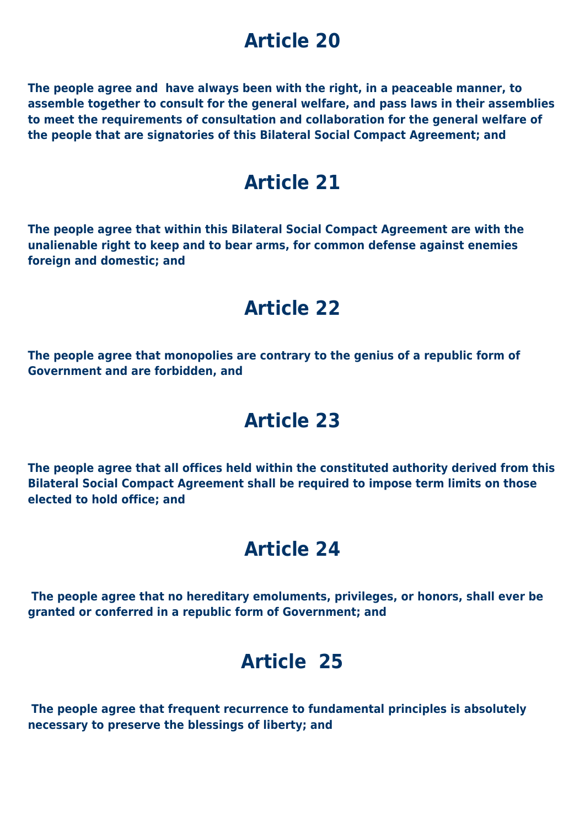## **Article 20**

**The people agree and have always been with the right, in a peaceable manner, to assemble together to consult for the general welfare, and pass laws in their assemblies to meet the requirements of consultation and collaboration for the general welfare of the people that are signatories of this Bilateral Social Compact Agreement; and**

#### **Article 21**

**The people agree that within this Bilateral Social Compact Agreement are with the unalienable right to keep and to bear arms, for common defense against enemies foreign and domestic; and**

## **Article 22**

**The people agree that monopolies are contrary to the genius of a republic form of Government and are forbidden, and**

## **Article 23**

**The people agree that all offices held within the constituted authority derived from this Bilateral Social Compact Agreement shall be required to impose term limits on those elected to hold office; and**

### **Article 24**

 **The people agree that no hereditary emoluments, privileges, or honors, shall ever be granted or conferred in a republic form of Government; and**

## **Article 25**

 **The people agree that frequent recurrence to fundamental principles is absolutely necessary to preserve the blessings of liberty; and**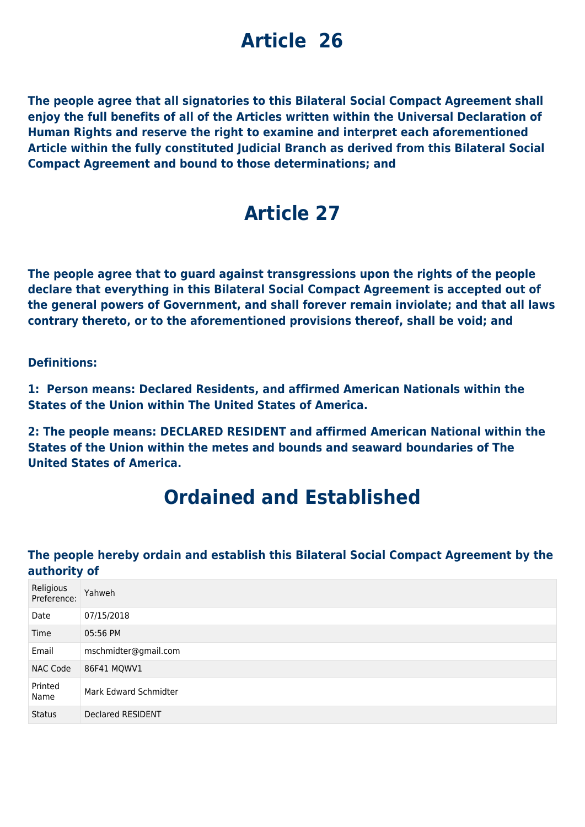# **Article 26**

**The people agree that all signatories to this Bilateral Social Compact Agreement shall enjoy the full benefits of all of the Articles written within the Universal Declaration of Human Rights and reserve the right to examine and interpret each aforementioned Article within the fully constituted Judicial Branch as derived from this Bilateral Social Compact Agreement and bound to those determinations; and**

## **Article 27**

**The people agree that to guard against transgressions upon the rights of the people declare that everything in this Bilateral Social Compact Agreement is accepted out of the general powers of Government, and shall forever remain inviolate; and that all laws contrary thereto, or to the aforementioned provisions thereof, shall be void; and**

#### **Definitions:**

**1: Person means: Declared Residents, and affirmed American Nationals within the States of the Union within The United States of America.**

**2: The people means: DECLARED RESIDENT and affirmed American National within the States of the Union within the metes and bounds and seaward boundaries of The United States of America.**

### **Ordained and Established**

#### **The people hereby ordain and establish this Bilateral Social Compact Agreement by the authority of**

| Religious<br>Preference: | Yahweh                |
|--------------------------|-----------------------|
| Date                     | 07/15/2018            |
| Time                     | 05:56 PM              |
| Email                    | mschmidter@gmail.com  |
| <b>NAC Code</b>          | 86F41 MQWV1           |
| Printed<br>Name          | Mark Edward Schmidter |
| <b>Status</b>            | Declared RESIDENT     |